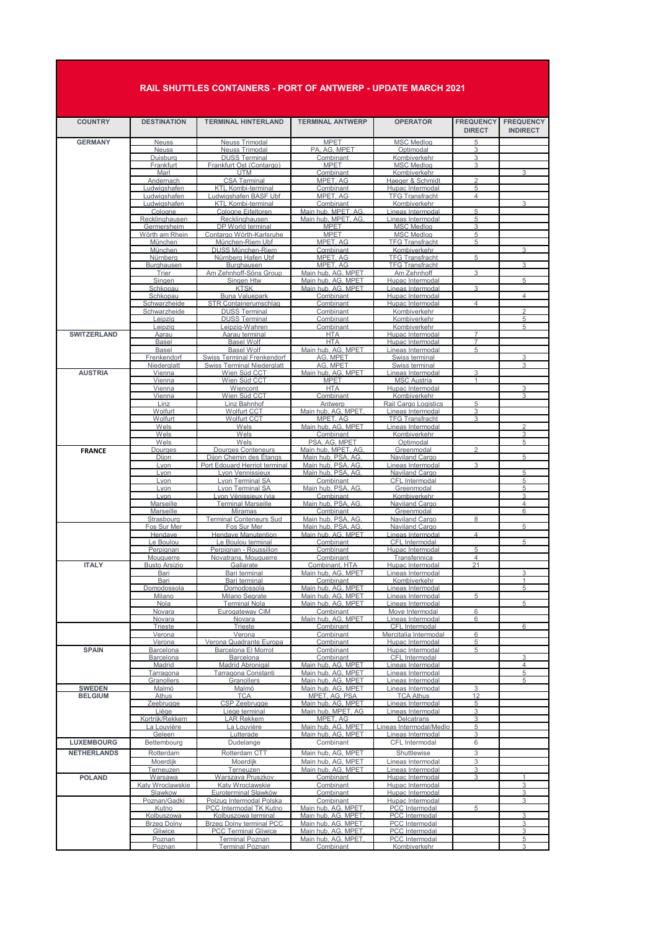## **RAIL SHUTTLES CONTAINERS - PORT OF ANTWERP - UPDATE MARCH 2021**

| <b>COUNTRY</b>                      | <b>DESTINATION</b>                | <b>TERMINAL HINTERLAND</b>                               | <b>TERMINAL ANTWERP</b>                  | <b>OPERATOR</b>                             | <b>FREQUENCY</b><br><b>DIRECT</b> | <b>FREQUENCY</b><br><b>INDIRECT</b> |
|-------------------------------------|-----------------------------------|----------------------------------------------------------|------------------------------------------|---------------------------------------------|-----------------------------------|-------------------------------------|
| <b>GERMANY</b>                      | <b>Neuss</b>                      | <b>Neuss Trimodal</b>                                    | <b>MPET</b>                              | <b>MSC Medlog</b>                           | 5                                 |                                     |
|                                     | <b>Neuss</b><br>Duisburg          | <b>Neuss Trimodal</b><br><b>DUSS Terminal</b>            | PA. AG. MPET<br>Combinant                | Optimodal<br>Kombiverkehr                   | 3<br>3                            |                                     |
|                                     | Frankfurt                         | Frankfurt Ost (Contargo)                                 | <b>MPET</b>                              | <b>MSC Medlog</b>                           | 3                                 |                                     |
|                                     | Marl<br>Andernach                 | <b>UTM</b><br><b>CSA Terminal</b>                        | Combinant<br>MPET. AG                    | Kombiverkehr<br>Haeger & Schmidt            | $\overline{2}$                    | 3                                   |
|                                     | udwigshafen <u>.</u>              | <b>KTL Kombi-terminal</b>                                | Combinant                                | Hupac Intermodal                            | 5                                 |                                     |
|                                     | Ludwigshafen                      | Ludwigshafen BASF Ubf                                    | MPET, AG                                 | <b>TFG Transfracht</b>                      | $\overline{4}$                    |                                     |
|                                     | Ludwigshafen<br>Cologne           | <b>KTL Kombi-terminal</b><br>Cologne Eifeltoren          | Combinant<br>Main hub, MPET, AG          | Kombiverkehr<br><u>Lineas Intermodal</u>    | 5                                 | 3                                   |
|                                     | Recklinghausen                    | Recklinghausen                                           | Main hub, MPET, AG                       | ineas Intermodal                            | 5                                 |                                     |
|                                     | Germersheim                       | DP World terminal                                        | <b>MPET</b>                              | <b>MSC Medlog</b>                           | 3                                 |                                     |
|                                     | Wörth am Rhein<br>München         | Contargo Wörth-Karlsruhe<br>München-Riem Ubf             | <b>MPET</b><br>MPET. AG                  | <b>MSC Medlog</b><br><b>TFG Transfracht</b> | 5<br>5                            |                                     |
|                                     | München                           | <b>DUSS München-Riem</b>                                 | Combinant                                | Kombiverkehr                                |                                   | 3                                   |
|                                     | Nürnbera                          | Nürnberg Hafen Ubf                                       | MPET, AG                                 | <b>TFG Transfracht</b>                      | 5                                 |                                     |
|                                     | <b>Burghausen</b><br>Trier        | <b>Burghausen</b><br>Am Zehnhoff-Söns Group              | MPET, AG<br>Main hub, AG, MPET           | <b>TFG Transfracht</b><br>Am Zehnhoff       | 3                                 | 3                                   |
|                                     | Singen                            | Singen Htw                                               | Main hub, AG, MPET                       | Hupac Intermodal                            |                                   | 5                                   |
|                                     | Schkopau                          | <b>KTSK</b>                                              | Main hub, AG, MPET                       | Lineas Intermodal                           | 3                                 |                                     |
|                                     | Schkopau<br>Schwarzheide          | <b>Buna Valuepark</b><br><b>STR Containerumschlag</b>    | Combinant<br>Combinant                   | Hupac Intermodal<br>Hupac Intermodal        | $\overline{4}$                    | 4                                   |
|                                     | Schwarzheide                      | <b>DUSS Terminal</b>                                     | Combinant                                | Kombiverkehr                                |                                   | $\mathcal{D}$                       |
|                                     | Leipzig                           | <b>DUSS Terminal</b>                                     | Combinant                                | Kombiverkehr                                |                                   | 5                                   |
|                                     | Leipzia                           | Leipzig-Wahren<br>Aarau terminal                         | Combinant<br><b>HTA</b>                  | Kombiverkehr<br>Hupac Intermodal            | $\overline{7}$                    | 5                                   |
| <b>SWITZERLAND</b>                  | Aarau<br>Basel                    | <b>Basel Wolf</b>                                        | <b>HTA</b>                               | Hupac Intermodal                            | 7                                 |                                     |
|                                     | Basel                             | <b>Basel Wolf</b>                                        | Main hub, AG, MPET                       | Lineas Intermodal                           | 5                                 |                                     |
|                                     | Frenkendorf                       | <b>Swiss Terminal Frenkendorf</b>                        | AG, MPET                                 | Swiss terminal                              |                                   | 3                                   |
| <b>AUSTRIA</b>                      | Niederalatt<br>Vienna             | <b>Swiss Terminal Niederglatt</b><br>Wien Süd CCT        | AG. MPET<br>Main hub, AG, MPET           | Swiss terminal<br><u>Lineas Intermodal</u>  | 3                                 | 3                                   |
|                                     | Vienna                            | Wien Süd CCT                                             | <b>MPET</b>                              | <b>MSC Austria</b>                          | 1                                 |                                     |
|                                     | Vienna                            | Wiencont                                                 | <b>HTA</b>                               | Hupac Intermodal                            |                                   | 3                                   |
|                                     | Vienna<br>Linz                    | Wien Süd CCT<br>Linz Bahnhof                             | Combinant<br>Antwerp                     | Kombiverkehr<br>Rail Cargo Logistics        | 5                                 | 3                                   |
|                                     | Wolfurt                           | <b>Wolfurt CCT</b>                                       | Main hub, AG, MPET                       | Lineas Intermodal                           | 3                                 |                                     |
|                                     | Wolfurt                           | <b>Wolfurt CCT</b>                                       | MPET. AG                                 | <b>TFG Transfracht</b>                      | 3                                 |                                     |
|                                     | Wels<br>Wels                      | Wels<br>Wels                                             | Main hub, AG, MPET<br>Combinant          | Lineas Intermodal<br>Kombiverkehr           |                                   | $\overline{2}$<br>3                 |
|                                     | Wels                              | Wels                                                     | PSA, AG, MPET                            | Optimodal                                   |                                   | 5                                   |
| <b>FRANCE</b>                       | <b>Dourges</b>                    | <b>Dourges Conteneurs</b>                                | Main hub, MPET, AG                       | Greenmodal                                  | $\mathfrak{D}$                    |                                     |
|                                     | <b>Diion</b><br>Lvon              | Diion Chemin des Étangs<br>Port Edouard Herriot terminal | Main hub, PSA, AG.<br>Main hub, PSA, AG. | Naviland Cargo<br>Lineas Intermodal         | 3                                 | 5                                   |
|                                     | Lvon                              | Lvon Vennissieux                                         | Main hub, PSA, AG                        | <b>Naviland Cargo</b>                       |                                   | 5                                   |
|                                     | Lyon                              | <b>Lyon Terminal SA</b>                                  | Combinant                                | <b>CFL</b> Intermodal                       |                                   | 5                                   |
|                                     | Lvon<br>Lyon                      | Lvon Terminal SA<br>Lyon Vénissieux (via                 | Main hub, PSA, AG.<br>Combinant          | Greenmodal<br>Kombiverkehr                  |                                   | 5<br>3                              |
|                                     | Marseille                         | <b>Terminal Marseille</b>                                | Main hub. PSA. AG                        | Naviland Cargo                              |                                   | $\overline{\mathbf{A}}$             |
|                                     | Marseille                         | Miramas                                                  | Combinant                                | Greenmodal                                  |                                   | 6                                   |
|                                     | Strasbourg<br>Fos Sur Mer         | <b>Terminal Conteneurs Sud</b><br>Fos Sur Mer            | Main hub, PSA, AG<br>Main hub, PSA, AG   | Naviland Cargo<br>Naviland Cargo            | 8                                 | 5                                   |
|                                     | Hendaye                           | <b>Hendaye Manutention</b>                               | Main hub, AG, MPET                       | <u>Lineas Intermodal</u>                    | 4                                 |                                     |
|                                     | Le Boulou                         | Le Boulou terminal                                       | Combinant                                | CFL Intermodal                              |                                   | 5                                   |
|                                     | Perpignan                         | Perpignan - Roussillon                                   | Combinant                                | Hupac Intermodal                            | 5<br>4                            |                                     |
| <b>ITALY</b>                        | Mouguerre<br><b>Busto Arsizio</b> | Novatrans, Mouguerre<br>Gallarate                        | Combinant<br>Combinant, HTA              | Transfennica<br>Hupac Intermodal            | 21                                |                                     |
|                                     | Bari                              | Bari terminal                                            | Main hub. AG. MPET                       | Lineas Intermodal                           |                                   | 3                                   |
|                                     | Bari                              | Bari terminal                                            | Combinant                                | Kombiverkehr                                |                                   | 1                                   |
|                                     | Domodossola<br>Milano             | Domodossola<br>Milano Segrate                            | Main hub, AG, MPET<br>Main hub, AG, MPET | Lineas Intermodal<br>Lineas Intermodal      | 5                                 | 5                                   |
|                                     | Nola                              | <u>Terminal Nola</u>                                     | Main hub, AG, MPET                       | Lineas Intermodal                           |                                   | 5                                   |
|                                     | Novara                            | Eurogateway CIM                                          | Combinant                                | Move Intermodal                             | 6                                 |                                     |
|                                     | Novara<br>Trieste                 | <b>Novara</b><br>Trieste                                 | Main hub, AG, MPET<br>Combinant          | Lineas Intermoda<br>CFL Intermodal          | $6\phantom{1}$                    | 6                                   |
|                                     | Verona                            | Verona                                                   | Combinant                                | Mercitalia Intermodal                       | 6                                 |                                     |
|                                     | Verona                            | Verona Quadrante Europa                                  | Combinant                                | <b>Hupac Intermodal</b>                     | 5                                 |                                     |
| <b>SPAIN</b>                        | <b>Barcelona</b><br>Barcelona     | <b>Barcelona El Morrot</b><br>Barcelona                  | Combinant<br>Combinant                   | Hupac Intermodal<br>CFL Intermodal          | 5                                 | 3                                   |
|                                     | Madrid                            | <b>Madrid Abronigal</b>                                  | Main hub, AG, MPET                       | Lineas Intermodal                           |                                   | 4                                   |
|                                     | Tarragona                         | Tarragona Constanti                                      | Main hub, AG, MPET                       | Lineas Intermodal                           |                                   | 5                                   |
|                                     | Granollers<br>Malmö               | Granollers<br>Malmö                                      | Main hub. AG. MPET<br>Main hub, AG, MPET | Lineas Intermodal<br>Lineas Intermodal      | 3                                 | 5                                   |
| <b>SWEDEN</b><br><b>BELGIUM</b>     | <b>Athus</b>                      | <b>TCA</b>                                               | MPET, AG, PSA                            | <b>TCA Athus</b>                            | 12                                |                                     |
|                                     | Zeebruaae                         | CSP Zeebrugge                                            | Main hub, AG, MPET                       | Lineas Intermodal                           | 5                                 |                                     |
|                                     | Liège<br>Kortriik/Rekkem          | Liege terminal<br><b>LAR Rekkem</b>                      | Main hub, MPET, AG<br>MPET. AG           | Lineas Intermodal<br>Delcatrans             | 3<br>3                            |                                     |
|                                     | La Louvière                       | La Louvière                                              | Main hub, AG, MPET                       | Lineas Intermodal/Medlo                     | 5                                 |                                     |
|                                     | Geleen                            | Lutterade                                                | Main hub, AG, MPET                       | Lineas Intermodal                           | 3                                 |                                     |
| <b>LUXEMBOURG</b>                   | Bettembourg                       | Dudelange                                                | Combinant                                | CFL Intermodal                              | 6                                 |                                     |
| <b>NETHERLANDS</b><br><b>POLAND</b> | Rotterdam                         | Rotterdam CTT                                            | Main hub, AG, MPET                       | Shuttlewise                                 | 3                                 |                                     |
|                                     | Moerdijk                          | Moerdiik                                                 | Main hub, AG, MPET                       | Lineas Intermodal                           | 3                                 |                                     |
|                                     | <b>Terneuzen</b><br>Warsawa       | Terneuzen<br>Warszava Pruszkov                           | Main hub, AG, MPET<br>Combinant          | Lineas Intermodal<br>Hupac Intermodal       | 3<br>3                            | 1                                   |
|                                     | Katy Wroclawskie                  | Katy Wroclawskie                                         | Combinant                                | Hupac Intermodal                            |                                   | 3                                   |
|                                     | Slawkow                           | Euroterminal Sławków                                     | Combinant                                | Hupac Intermodal                            |                                   | 3                                   |
|                                     | Poznan/Gadki                      | Polzug Intermodal Polska                                 | Combinant                                | Hupac Intermodal                            | 5                                 | 3                                   |
|                                     | Kutno<br>Kolbuszowa               | PCC Intermodal TK Kutno<br>Kolbuszowa terminal           | Main hub. AG. MPET<br>Main hub, AG, MPET | PCC Intermodal<br><b>PCC</b> Intermodal     |                                   | 3                                   |
|                                     | <b>Brzeg Dolny</b>                | <b>Brzeg Dolny terminal PCC</b>                          | Main hub, AG, MPET                       | <b>PCC</b> Intermodal                       |                                   | 3                                   |
|                                     | Gliwice                           | <b>PCC Terminal Gliwice</b>                              | Main hub. AG, MPET                       | <b>PCC</b> Intermodal                       |                                   | 3                                   |
|                                     | Poznan<br>Poznan                  | <b>Terminal Poznan</b><br><b>Terminal Poznan</b>         | Main hub, AG, MPET<br>Combinant          | <b>PCC</b> Intermodal<br>Kombiverkehr       |                                   | 5<br>3                              |